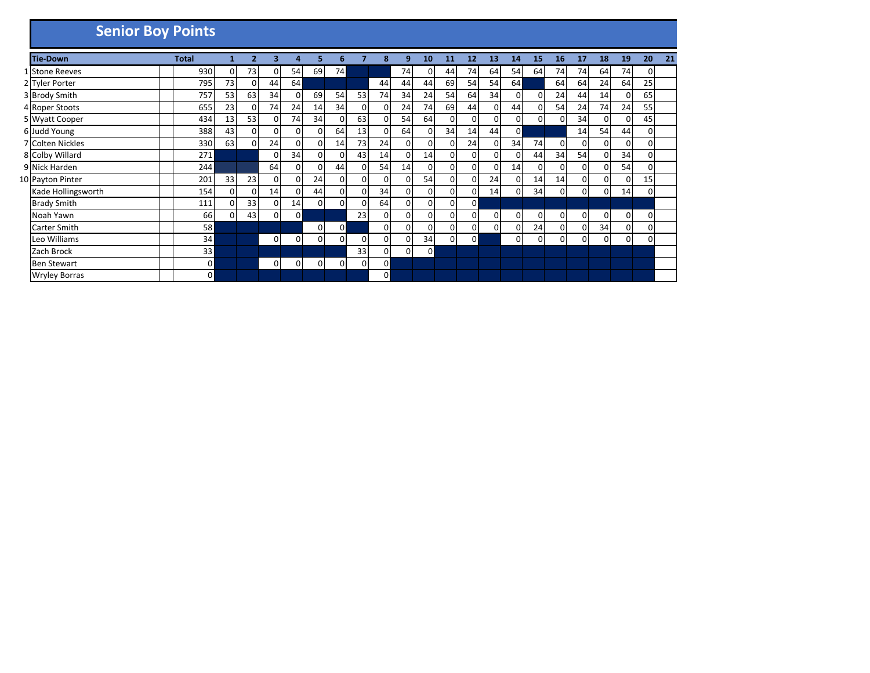| <b>Senior Boy Points</b> |              |                |                |          |              |          |              |              |    |              |              |          |                |                |                |    |          |    |                |    |              |    |
|--------------------------|--------------|----------------|----------------|----------|--------------|----------|--------------|--------------|----|--------------|--------------|----------|----------------|----------------|----------------|----|----------|----|----------------|----|--------------|----|
| <b>Tie-Down</b>          | <b>Total</b> |                | $\overline{2}$ | 3        | 4            | 5        | 6            |              | 8  | 9            | 10           | 11       | 12             | 13             | 14             | 15 | 16       | 17 | 18             | 19 | 20           | 21 |
| 1 Stone Reeves           | 930          | 0              | 73             | $\Omega$ | 54           | 69       | 74           |              |    | 74           | 0            | 44       | 74             | 64             | 54             | 64 | 74       | 74 | 64             | 74 | $\mathbf{0}$ |    |
| 2 Tyler Porter           | 795          | 73             | 0              | 44       | 64           |          |              |              | 44 | 44           | 44           | 69       | 54             | 54             | 64             |    | 64       | 64 | 24             | 64 | 25           |    |
| 3 Brody Smith            | 757          | 53             | 63             | 34       | 0            | 69       | 54           | 53           | 74 | 34           | 24           | 54       | 64             | 34             | 0              | 0  | 24       | 44 | 14             | 0  | 65           |    |
| 4 Roper Stoots           | 655          | 23             | 0              | 74       | 24           | 14       | 34           | 0            | 0  | 24           | 74           | 69       | 44             | $\overline{0}$ | 44             | 0  | 54       | 24 | 74             | 24 | 55           |    |
| 5 Wyatt Cooper           | 434          | 13             | 53             | 0        | 74           | 34       | 0            | 63           | 0  | 54           | 64           | 0        | $\overline{0}$ | 0              | $\overline{0}$ | 0  | $\Omega$ | 34 | $\overline{0}$ | 0  | 45           |    |
| 6 Judd Young             | 388          | 43             | $\mathbf 0$    | $\Omega$ | $\mathbf 0$  | 0        | 64           | 13           | 0  | 64           | $\mathbf{0}$ | 34       | 14             | 44             | $\overline{0}$ |    |          | 14 | 54             | 44 | $\Omega$     |    |
| 7 Colten Nickles         | 330          | 63             | $\mathbf 0$    | 24       | 0            | 0        | 14           | 73           | 24 | $\mathbf{0}$ | 0            | 0.       | 24             | 0              | 34             | 74 | $\Omega$ | 0  | 0              | 0  | 0            |    |
| 8 Colby Willard          | 271          |                |                | 0        | 34           | 0        | 0            | 43           | 14 | 0            | 14           | 0        | $\overline{0}$ | 0              | 0              | 44 | 34       | 54 | $\Omega$       | 34 | 0            |    |
| 9 Nick Harden            | 244          |                |                | 64       | $\mathbf{0}$ | $\Omega$ | 44           | ŋ            | 54 | 14           | $\mathbf{0}$ | 0        | $\mathbf{0}$   | Ω              | 14             | ŋ  | 0        | 0  |                | 54 | 0            |    |
| 10 Payton Pinter         | 201          | 33             | 23             | $\Omega$ | 0            | 24       | $\mathbf 0$  | 0            | 0  | 0            | 54           | 0        | $\Omega$       | 24             | $\Omega$       | 14 | 14       | 0  | $\Omega$       | 0  | 15           |    |
| Kade Hollingsworth       | 154          | $\Omega$       | 0              | 14       | 0            | 44       | $\mathbf 0$  | $\mathbf{0}$ | 34 | $\mathbf{0}$ | 0            | 0        | $\overline{0}$ | 14             | $\Omega$       | 34 | $\Omega$ | 0  | $\Omega$       | 14 | $\Omega$     |    |
| <b>Brady Smith</b>       | 111          | 0              | 33             | $\Omega$ | 14           | 0        | $\mathbf{0}$ | ŋ            | 64 | 0            | 0            | 0        | 0              |                |                |    |          |    |                |    |              |    |
| Noah Yawn                |              | 66<br>$\Omega$ | 43             | 0        | 0            |          |              | 23           | 0  | 01           | 0            | 0        | 0              | 0              | $\Omega$       | ŋ  | $\Omega$ | 0  | $\Omega$       | 0  | 0            |    |
| <b>Carter Smith</b>      |              | 58             |                |          |              | 0        | 0            |              | 0  | 0            | 0            | 0        | $\overline{0}$ | 0              | 0              | 24 | $\Omega$ | 0  | 34             | 0  | 0            |    |
| Leo Williams             |              | 34             |                | 0        | 0            | 0        | $\mathbf 0$  | 0            | 0  | 0            | 34           | $\Omega$ | $\overline{0}$ |                | 0              | 0  | $\Omega$ | 0  | $\Omega$       | 0  | 0            |    |
| Zach Brock               |              | 33             |                |          |              |          |              | 33           | 0  | 0            | 0            |          |                |                |                |    |          |    |                |    |              |    |
| <b>Ben Stewart</b>       |              | 0              |                | 0        | 0            | 0        | 0            | 0            | 0  |              |              |          |                |                |                |    |          |    |                |    |              |    |
| <b>Wryley Borras</b>     |              | $\Omega$       |                |          |              |          |              |              | 0  |              |              |          |                |                |                |    |          |    |                |    |              |    |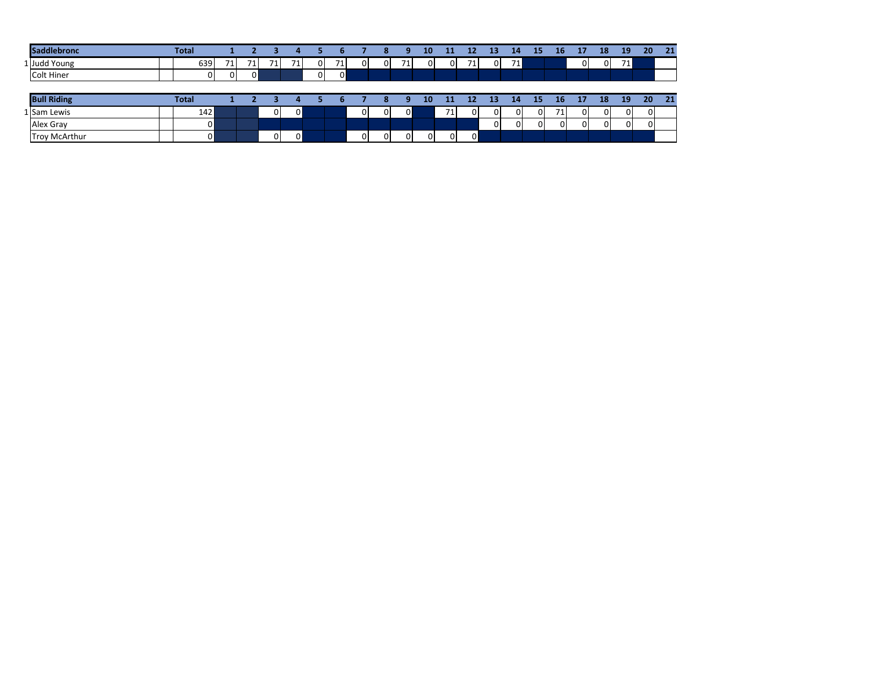| <b>Saddlebronc</b> | <b>Total</b> |     |          |          |    |             |   |                |   | $\bullet$<br>œ | 9  | 10       | 11       | 12       | 13       | 14       | 15           | 16       | 17       | 18       | 19       | 20 <sub>1</sub> | 21 |
|--------------------|--------------|-----|----------|----------|----|-------------|---|----------------|---|----------------|----|----------|----------|----------|----------|----------|--------------|----------|----------|----------|----------|-----------------|----|
| 1 Judd Young       |              | 639 | 71       | 71.      | 71 | 71          | 0 | 71             | 0 | 0.             | 71 | $\Omega$ | $\Omega$ | 71       | $\Omega$ | 71       |              |          | 01       | $\Omega$ | 711      |                 |    |
| <b>Colt Hiner</b>  |              | 0   | $\Omega$ | $\Omega$ |    |             | 0 | $\overline{0}$ |   |                |    |          |          |          |          |          |              |          |          |          |          |                 |    |
|                    |              |     |          |          |    |             |   |                |   |                |    |          |          |          |          |          |              |          |          |          |          |                 |    |
|                    |              |     |          |          |    |             |   |                |   |                |    |          |          |          |          |          |              |          |          |          |          |                 |    |
| <b>Bull Riding</b> | <b>Total</b> |     |          |          |    |             |   |                |   | o              | q  | 10       | 11       | 12       | 13       | 14       | 15           | 16       | 17       | 18       | 19       | 20              | 21 |
| 1 Sam Lewis        |              | 142 |          |          | 0  | $\mathbf 0$ |   |                | 0 | $\Omega$       | 0  |          | 71       | $\Omega$ | 01       | $\Omega$ | $\mathbf{0}$ | 71       | $\Omega$ | $\Omega$ | $\Omega$ | $\Omega$        |    |
| Alex Gray          |              | 0   |          |          |    |             |   |                |   |                |    |          |          |          | 0        | 0        | $\Omega$     | $\Omega$ | $\Omega$ | $\Omega$ | $\Omega$ | $\Omega$        |    |